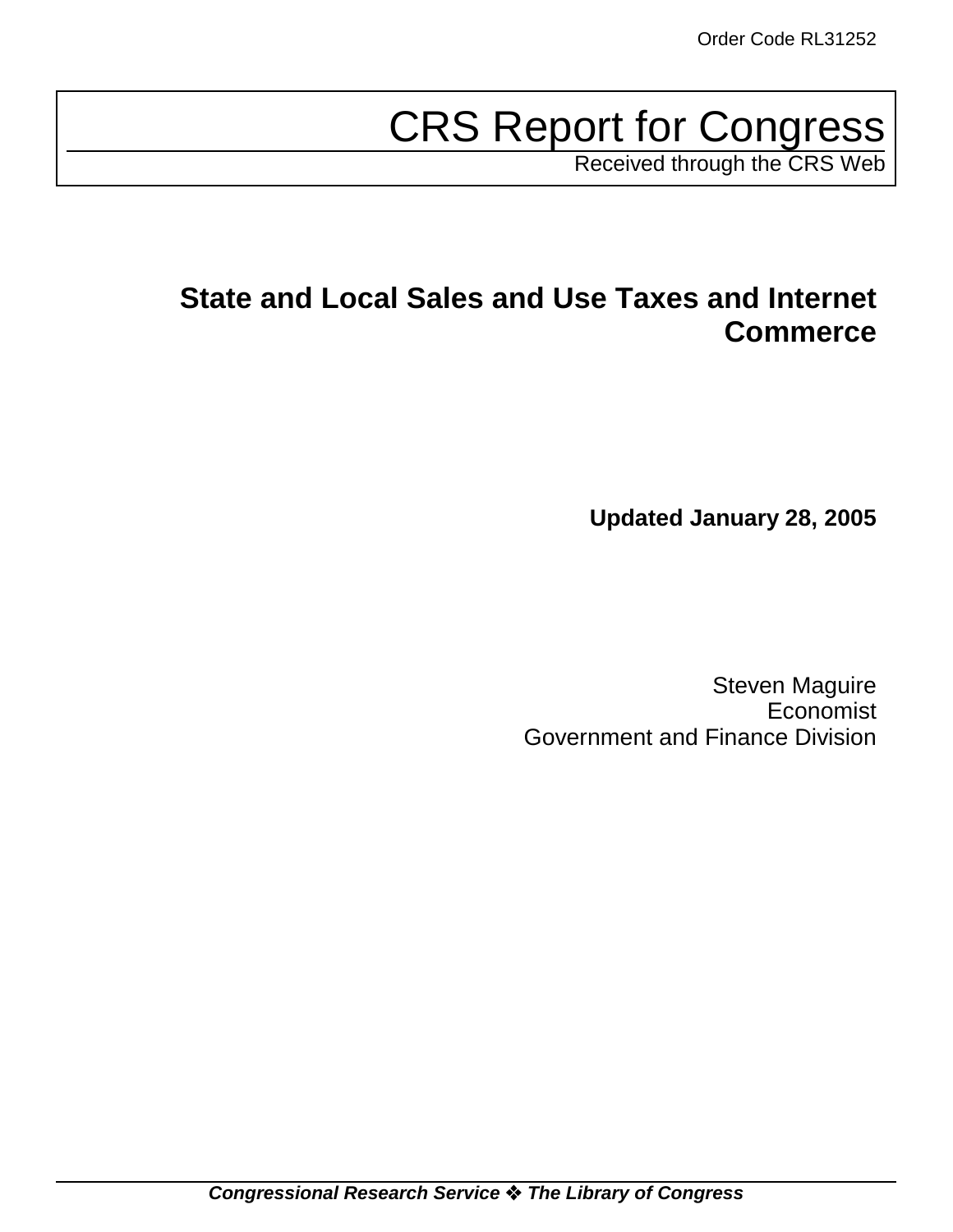# CRS Report for Congress

Received through the CRS Web

# **State and Local Sales and Use Taxes and Internet Commerce**

**Updated January 28, 2005**

Steven Maguire Economist Government and Finance Division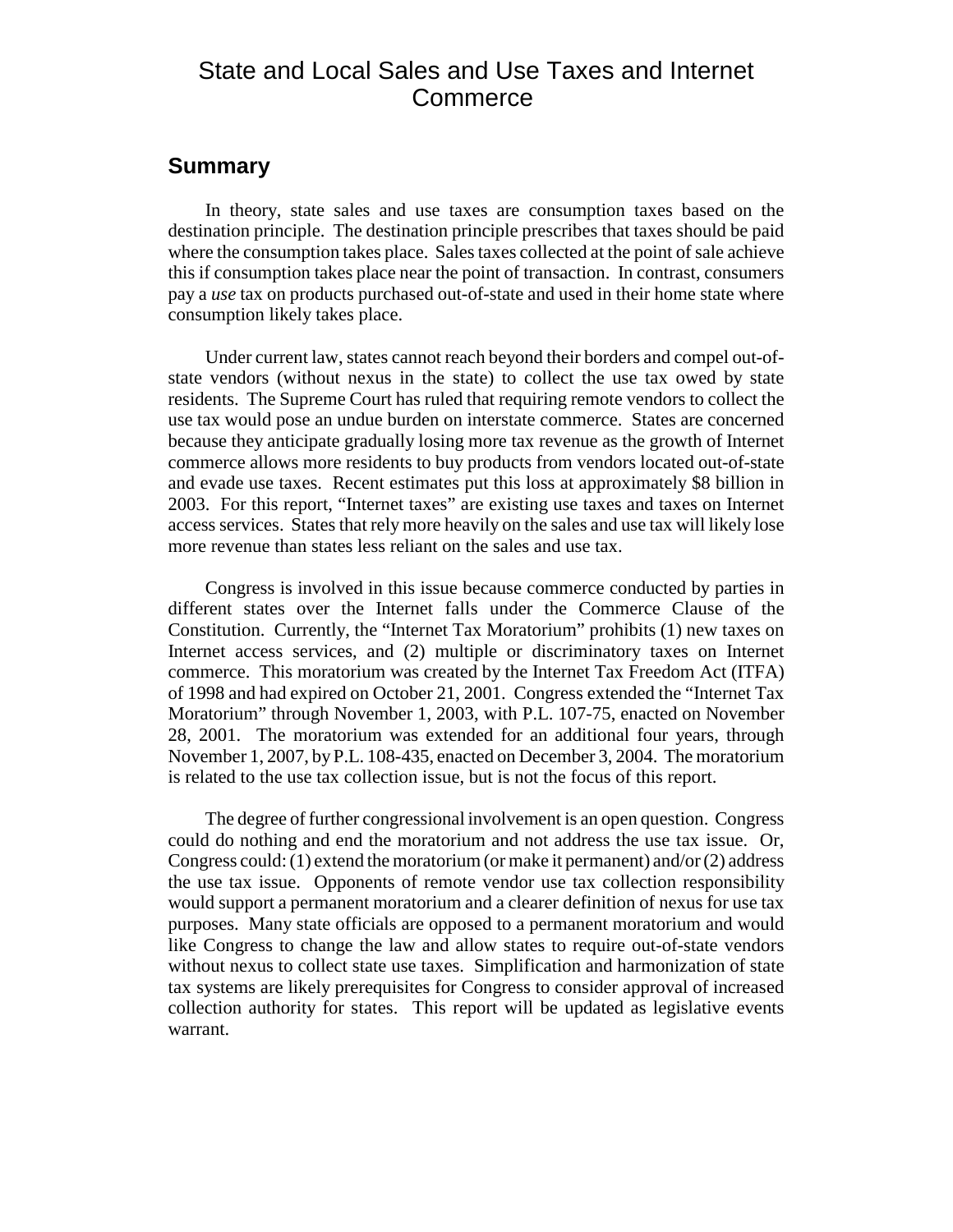### State and Local Sales and Use Taxes and Internet **Commerce**

#### **Summary**

In theory, state sales and use taxes are consumption taxes based on the destination principle. The destination principle prescribes that taxes should be paid where the consumption takes place. Sales taxes collected at the point of sale achieve this if consumption takes place near the point of transaction. In contrast, consumers pay a *use* tax on products purchased out-of-state and used in their home state where consumption likely takes place.

Under current law, states cannot reach beyond their borders and compel out-ofstate vendors (without nexus in the state) to collect the use tax owed by state residents. The Supreme Court has ruled that requiring remote vendors to collect the use tax would pose an undue burden on interstate commerce. States are concerned because they anticipate gradually losing more tax revenue as the growth of Internet commerce allows more residents to buy products from vendors located out-of-state and evade use taxes. Recent estimates put this loss at approximately \$8 billion in 2003. For this report, "Internet taxes" are existing use taxes and taxes on Internet access services. States that rely more heavily on the sales and use tax will likely lose more revenue than states less reliant on the sales and use tax.

Congress is involved in this issue because commerce conducted by parties in different states over the Internet falls under the Commerce Clause of the Constitution. Currently, the "Internet Tax Moratorium" prohibits (1) new taxes on Internet access services, and (2) multiple or discriminatory taxes on Internet commerce. This moratorium was created by the Internet Tax Freedom Act (ITFA) of 1998 and had expired on October 21, 2001. Congress extended the "Internet Tax Moratorium" through November 1, 2003, with P.L. 107-75, enacted on November 28, 2001. The moratorium was extended for an additional four years, through November 1, 2007, by P.L. 108-435, enacted on December 3, 2004. The moratorium is related to the use tax collection issue, but is not the focus of this report.

The degree of further congressional involvement is an open question. Congress could do nothing and end the moratorium and not address the use tax issue. Or, Congress could: (1) extend the moratorium (or make it permanent) and/or (2) address the use tax issue. Opponents of remote vendor use tax collection responsibility would support a permanent moratorium and a clearer definition of nexus for use tax purposes. Many state officials are opposed to a permanent moratorium and would like Congress to change the law and allow states to require out-of-state vendors without nexus to collect state use taxes. Simplification and harmonization of state tax systems are likely prerequisites for Congress to consider approval of increased collection authority for states. This report will be updated as legislative events warrant.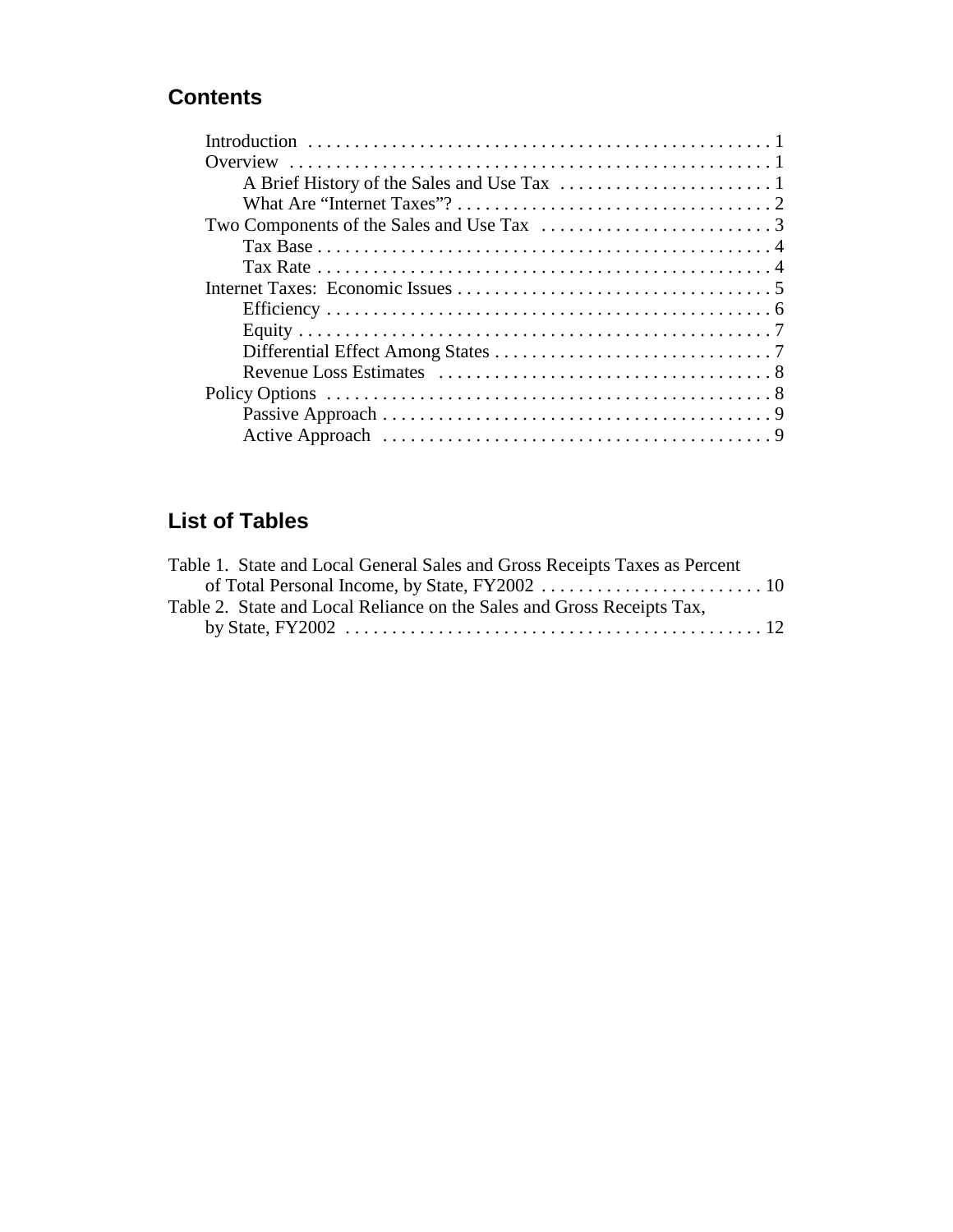### **Contents**

## **List of Tables**

| Table 1. State and Local General Sales and Gross Receipts Taxes as Percent |  |
|----------------------------------------------------------------------------|--|
|                                                                            |  |
| Table 2. State and Local Reliance on the Sales and Gross Receipts Tax,     |  |
|                                                                            |  |
|                                                                            |  |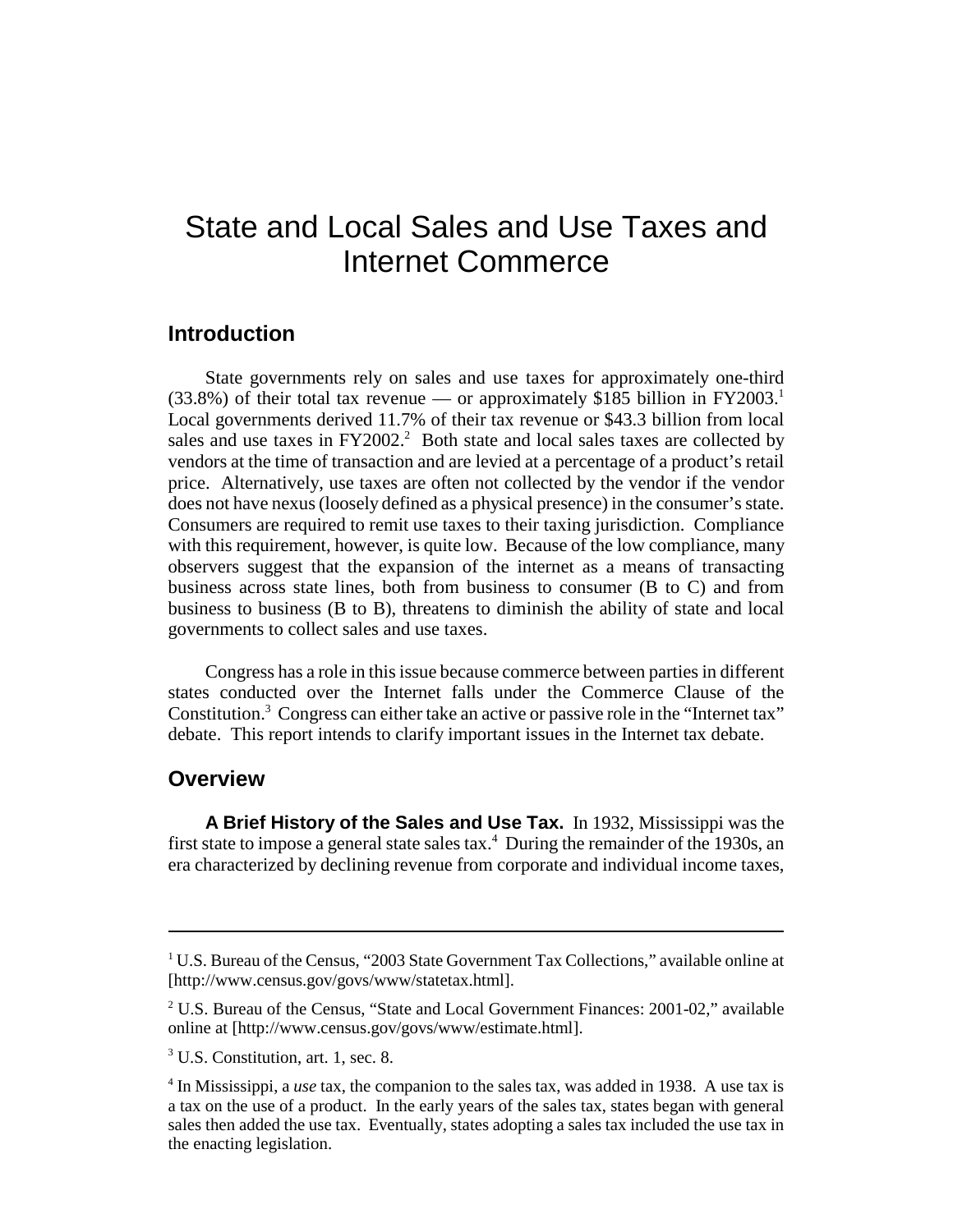# State and Local Sales and Use Taxes and Internet Commerce

#### **Introduction**

State governments rely on sales and use taxes for approximately one-third  $(33.8\%)$  of their total tax revenue — or approximately \$185 billion in FY2003.<sup>1</sup> Local governments derived 11.7% of their tax revenue or \$43.3 billion from local sales and use taxes in  $FY2002<sup>2</sup>$  Both state and local sales taxes are collected by vendors at the time of transaction and are levied at a percentage of a product's retail price. Alternatively, use taxes are often not collected by the vendor if the vendor does not have nexus (loosely defined as a physical presence) in the consumer's state. Consumers are required to remit use taxes to their taxing jurisdiction. Compliance with this requirement, however, is quite low. Because of the low compliance, many observers suggest that the expansion of the internet as a means of transacting business across state lines, both from business to consumer (B to C) and from business to business (B to B), threatens to diminish the ability of state and local governments to collect sales and use taxes.

Congress has a role in this issue because commerce between parties in different states conducted over the Internet falls under the Commerce Clause of the Constitution.<sup>3</sup> Congress can either take an active or passive role in the "Internet tax" debate. This report intends to clarify important issues in the Internet tax debate.

#### **Overview**

**A Brief History of the Sales and Use Tax.** In 1932, Mississippi was the first state to impose a general state sales tax. $4$  During the remainder of the 1930s, an era characterized by declining revenue from corporate and individual income taxes,

<sup>&</sup>lt;sup>1</sup> U.S. Bureau of the Census, "2003 State Government Tax Collections," available online at [http://www.census.gov/govs/www/statetax.html].

<sup>&</sup>lt;sup>2</sup> U.S. Bureau of the Census, "State and Local Government Finances: 2001-02," available online at [http://www.census.gov/govs/www/estimate.html].

<sup>3</sup> U.S. Constitution, art. 1, sec. 8.

<sup>4</sup> In Mississippi, a *use* tax, the companion to the sales tax, was added in 1938. A use tax is a tax on the use of a product. In the early years of the sales tax, states began with general sales then added the use tax. Eventually, states adopting a sales tax included the use tax in the enacting legislation.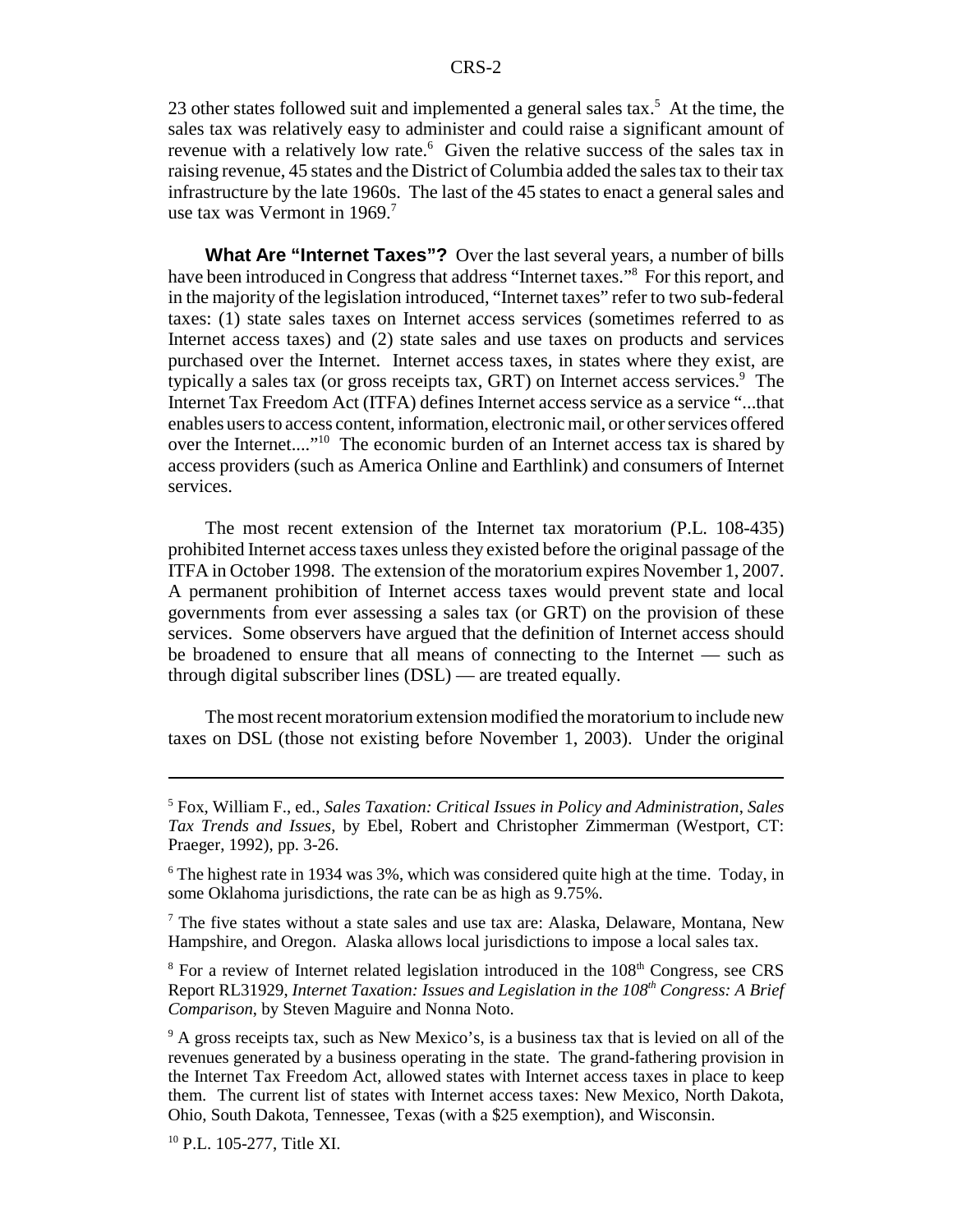23 other states followed suit and implemented a general sales tax.<sup>5</sup> At the time, the sales tax was relatively easy to administer and could raise a significant amount of revenue with a relatively low rate.<sup>6</sup> Given the relative success of the sales tax in raising revenue, 45 states and the District of Columbia added the sales tax to their tax infrastructure by the late 1960s. The last of the 45 states to enact a general sales and use tax was Vermont in  $1969$ .<sup>7</sup>

**What Are "Internet Taxes"?** Over the last several years, a number of bills have been introduced in Congress that address "Internet taxes."8 For this report, and in the majority of the legislation introduced, "Internet taxes" refer to two sub-federal taxes: (1) state sales taxes on Internet access services (sometimes referred to as Internet access taxes) and (2) state sales and use taxes on products and services purchased over the Internet. Internet access taxes, in states where they exist, are typically a sales tax (or gross receipts tax, GRT) on Internet access services.<sup>9</sup> The Internet Tax Freedom Act (ITFA) defines Internet access service as a service "...that enables users to access content, information, electronic mail, or other services offered over the Internet...."10 The economic burden of an Internet access tax is shared by access providers (such as America Online and Earthlink) and consumers of Internet services.

The most recent extension of the Internet tax moratorium (P.L. 108-435) prohibited Internet access taxes unless they existed before the original passage of the ITFA in October 1998. The extension of the moratorium expires November 1, 2007. A permanent prohibition of Internet access taxes would prevent state and local governments from ever assessing a sales tax (or GRT) on the provision of these services. Some observers have argued that the definition of Internet access should be broadened to ensure that all means of connecting to the Internet — such as through digital subscriber lines (DSL) — are treated equally.

The most recent moratorium extension modified the moratorium to include new taxes on DSL (those not existing before November 1, 2003). Under the original

<sup>5</sup> Fox, William F., ed., *Sales Taxation: Critical Issues in Policy and Administration*, *Sales Tax Trends and Issues*, by Ebel, Robert and Christopher Zimmerman (Westport, CT: Praeger, 1992), pp. 3-26.

<sup>&</sup>lt;sup>6</sup> The highest rate in 1934 was 3%, which was considered quite high at the time. Today, in some Oklahoma jurisdictions, the rate can be as high as 9.75%.

<sup>&</sup>lt;sup>7</sup> The five states without a state sales and use tax are: Alaska, Delaware, Montana, New Hampshire, and Oregon. Alaska allows local jurisdictions to impose a local sales tax.

<sup>&</sup>lt;sup>8</sup> For a review of Internet related legislation introduced in the 108<sup>th</sup> Congress, see CRS Report RL31929, *Internet Taxation: Issues and Legislation in the 108<sup>th</sup> Congress: A Brief Comparison*, by Steven Maguire and Nonna Noto.

<sup>&</sup>lt;sup>9</sup> A gross receipts tax, such as New Mexico's, is a business tax that is levied on all of the revenues generated by a business operating in the state. The grand-fathering provision in the Internet Tax Freedom Act, allowed states with Internet access taxes in place to keep them. The current list of states with Internet access taxes: New Mexico, North Dakota, Ohio, South Dakota, Tennessee, Texas (with a \$25 exemption), and Wisconsin.

<sup>10</sup> P.L. 105-277, Title XI.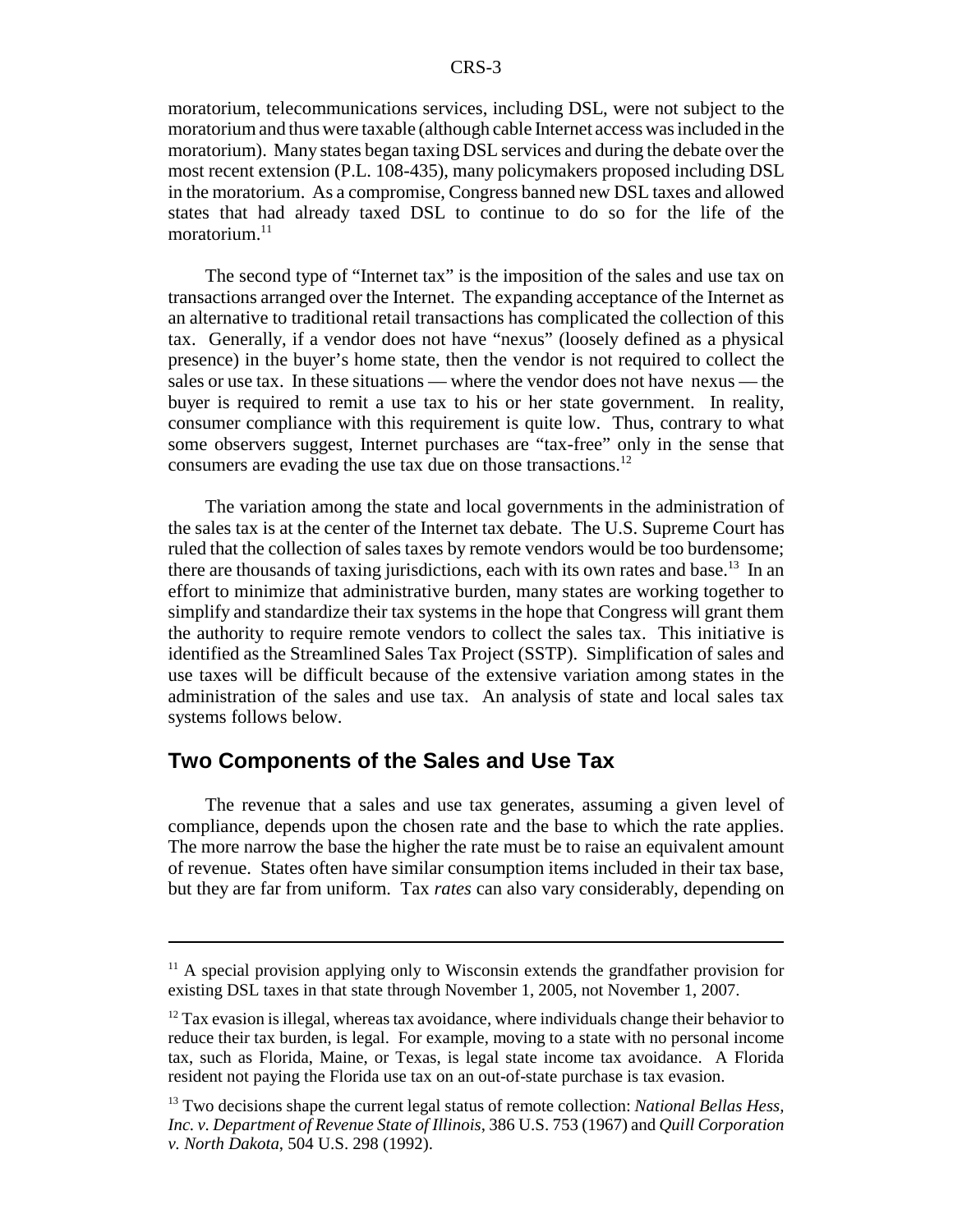moratorium, telecommunications services, including DSL, were not subject to the moratorium and thus were taxable (although cable Internet access was included in the moratorium). Many states began taxing DSL services and during the debate over the most recent extension (P.L. 108-435), many policymakers proposed including DSL in the moratorium. As a compromise, Congress banned new DSL taxes and allowed states that had already taxed DSL to continue to do so for the life of the moratorium. $^{11}$ 

The second type of "Internet tax" is the imposition of the sales and use tax on transactions arranged over the Internet. The expanding acceptance of the Internet as an alternative to traditional retail transactions has complicated the collection of this tax. Generally, if a vendor does not have "nexus" (loosely defined as a physical presence) in the buyer's home state, then the vendor is not required to collect the sales or use tax. In these situations — where the vendor does not have nexus — the buyer is required to remit a use tax to his or her state government. In reality, consumer compliance with this requirement is quite low. Thus, contrary to what some observers suggest, Internet purchases are "tax-free" only in the sense that consumers are evading the use tax due on those transactions.<sup>12</sup>

The variation among the state and local governments in the administration of the sales tax is at the center of the Internet tax debate. The U.S. Supreme Court has ruled that the collection of sales taxes by remote vendors would be too burdensome; there are thousands of taxing jurisdictions, each with its own rates and base.<sup>13</sup> In an effort to minimize that administrative burden, many states are working together to simplify and standardize their tax systems in the hope that Congress will grant them the authority to require remote vendors to collect the sales tax. This initiative is identified as the Streamlined Sales Tax Project (SSTP). Simplification of sales and use taxes will be difficult because of the extensive variation among states in the administration of the sales and use tax. An analysis of state and local sales tax systems follows below.

#### **Two Components of the Sales and Use Tax**

The revenue that a sales and use tax generates, assuming a given level of compliance, depends upon the chosen rate and the base to which the rate applies. The more narrow the base the higher the rate must be to raise an equivalent amount of revenue. States often have similar consumption items included in their tax base, but they are far from uniform. Tax *rates* can also vary considerably, depending on

 $11$  A special provision applying only to Wisconsin extends the grandfather provision for existing DSL taxes in that state through November 1, 2005, not November 1, 2007.

 $12$  Tax evasion is illegal, whereas tax avoidance, where individuals change their behavior to reduce their tax burden, is legal. For example, moving to a state with no personal income tax, such as Florida, Maine, or Texas, is legal state income tax avoidance. A Florida resident not paying the Florida use tax on an out-of-state purchase is tax evasion.

<sup>13</sup> Two decisions shape the current legal status of remote collection: *National Bellas Hess, Inc. v. Department of Revenue State of Illinois*, 386 U.S. 753 (1967) and *Quill Corporation v. North Dakota*, 504 U.S. 298 (1992).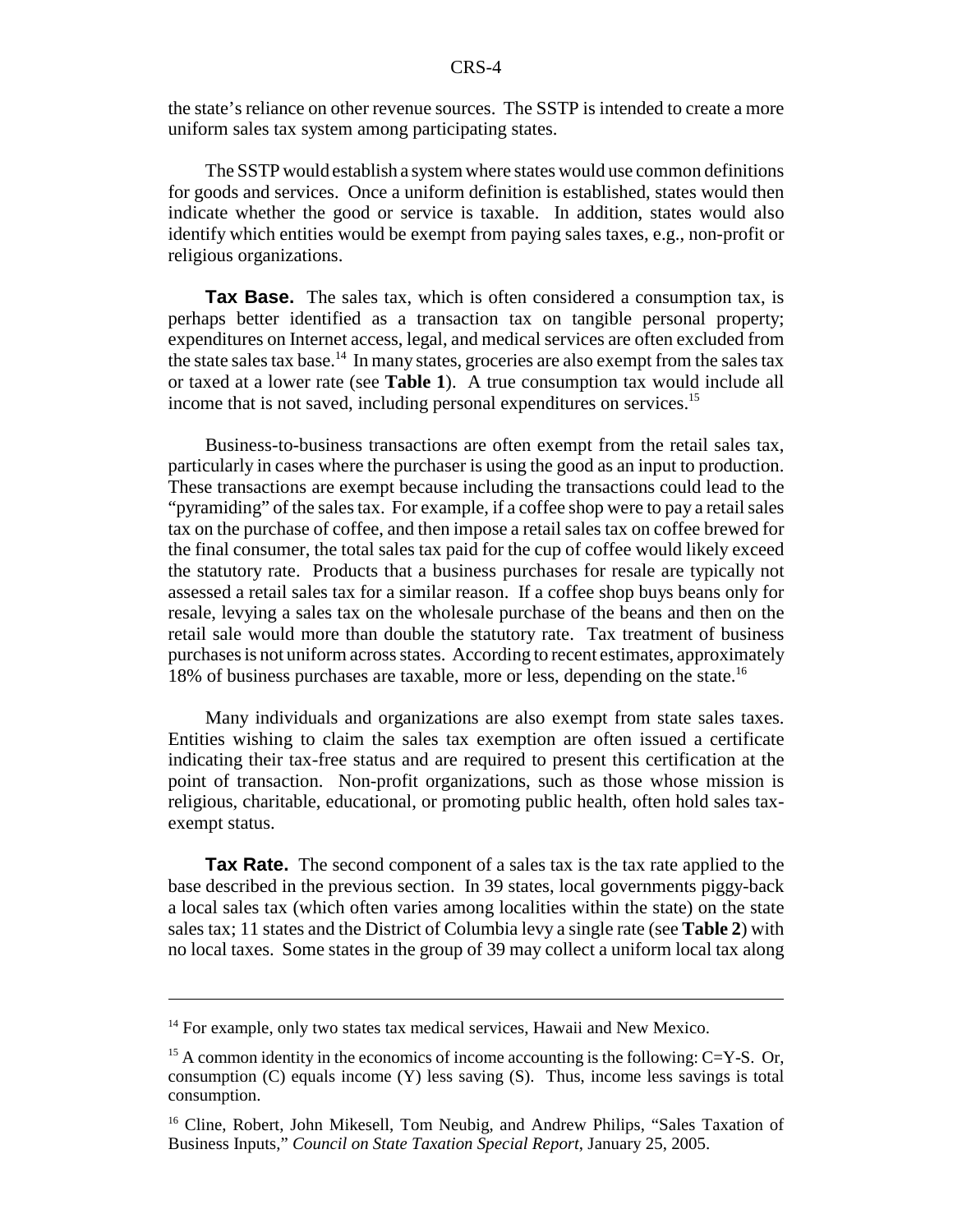the state's reliance on other revenue sources. The SSTP is intended to create a more uniform sales tax system among participating states.

The SSTP would establish a system where states would use common definitions for goods and services. Once a uniform definition is established, states would then indicate whether the good or service is taxable. In addition, states would also identify which entities would be exempt from paying sales taxes, e.g., non-profit or religious organizations.

**Tax Base.** The sales tax, which is often considered a consumption tax, is perhaps better identified as a transaction tax on tangible personal property; expenditures on Internet access, legal, and medical services are often excluded from the state sales tax base.<sup>14</sup> In many states, groceries are also exempt from the sales tax or taxed at a lower rate (see **Table 1**). A true consumption tax would include all income that is not saved, including personal expenditures on services.<sup>15</sup>

Business-to-business transactions are often exempt from the retail sales tax, particularly in cases where the purchaser is using the good as an input to production. These transactions are exempt because including the transactions could lead to the "pyramiding" of the sales tax. For example, if a coffee shop were to pay a retail sales tax on the purchase of coffee, and then impose a retail sales tax on coffee brewed for the final consumer, the total sales tax paid for the cup of coffee would likely exceed the statutory rate. Products that a business purchases for resale are typically not assessed a retail sales tax for a similar reason. If a coffee shop buys beans only for resale, levying a sales tax on the wholesale purchase of the beans and then on the retail sale would more than double the statutory rate. Tax treatment of business purchases is not uniform across states. According to recent estimates, approximately 18% of business purchases are taxable, more or less, depending on the state.16

Many individuals and organizations are also exempt from state sales taxes. Entities wishing to claim the sales tax exemption are often issued a certificate indicating their tax-free status and are required to present this certification at the point of transaction. Non-profit organizations, such as those whose mission is religious, charitable, educational, or promoting public health, often hold sales taxexempt status.

**Tax Rate.** The second component of a sales tax is the tax rate applied to the base described in the previous section. In 39 states, local governments piggy-back a local sales tax (which often varies among localities within the state) on the state sales tax; 11 states and the District of Columbia levy a single rate (see **Table 2**) with no local taxes. Some states in the group of 39 may collect a uniform local tax along

<sup>&</sup>lt;sup>14</sup> For example, only two states tax medical services, Hawaii and New Mexico.

<sup>&</sup>lt;sup>15</sup> A common identity in the economics of income accounting is the following: C=Y-S. Or, consumption (C) equals income (Y) less saving (S). Thus, income less savings is total consumption.

<sup>&</sup>lt;sup>16</sup> Cline, Robert, John Mikesell, Tom Neubig, and Andrew Philips, "Sales Taxation of Business Inputs," *Council on State Taxation Special Report*, January 25, 2005.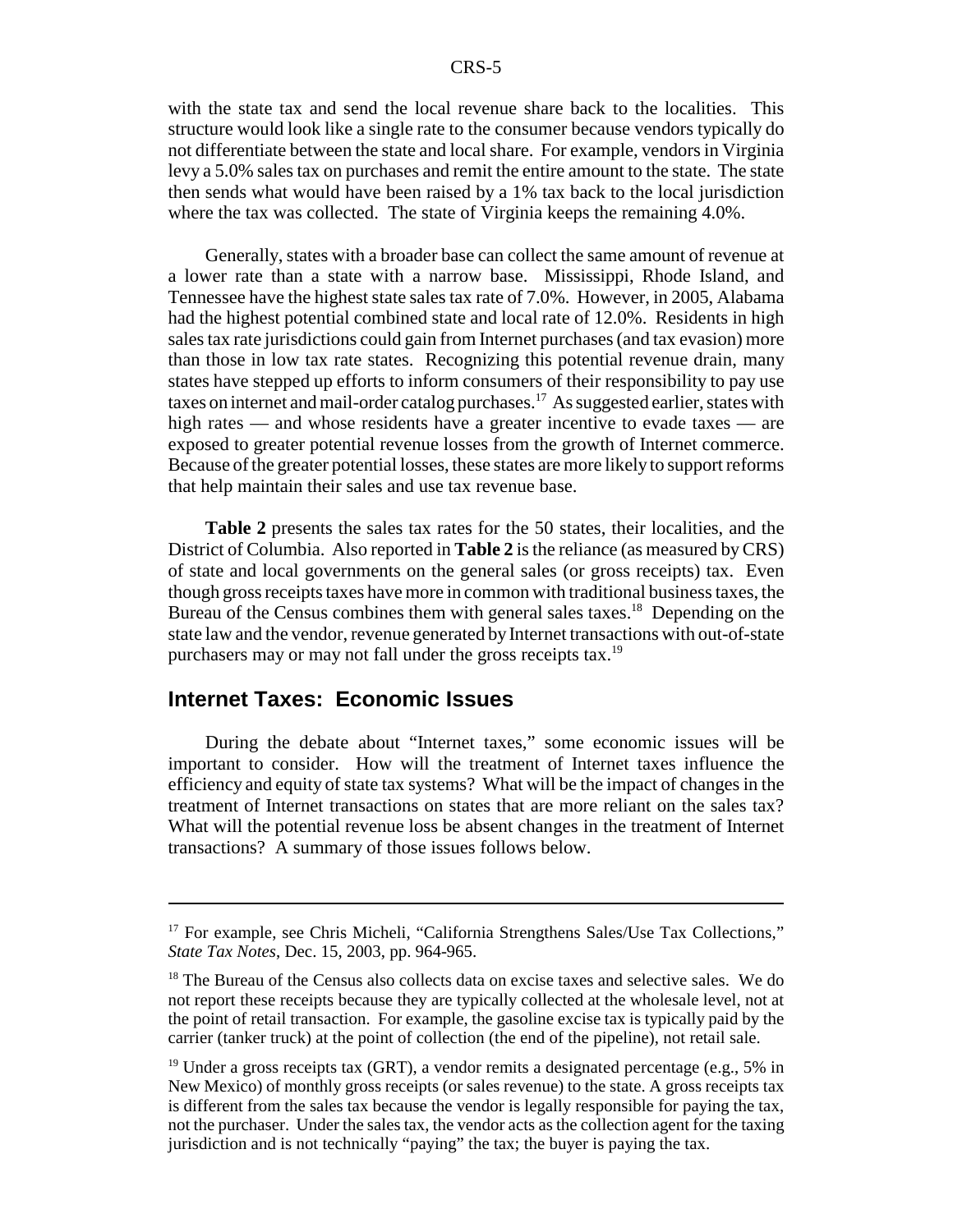with the state tax and send the local revenue share back to the localities. This structure would look like a single rate to the consumer because vendors typically do not differentiate between the state and local share. For example, vendors in Virginia levy a 5.0% sales tax on purchases and remit the entire amount to the state. The state then sends what would have been raised by a 1% tax back to the local jurisdiction where the tax was collected. The state of Virginia keeps the remaining 4.0%.

Generally, states with a broader base can collect the same amount of revenue at a lower rate than a state with a narrow base. Mississippi, Rhode Island, and Tennessee have the highest state sales tax rate of 7.0%. However, in 2005, Alabama had the highest potential combined state and local rate of 12.0%. Residents in high sales tax rate jurisdictions could gain from Internet purchases (and tax evasion) more than those in low tax rate states. Recognizing this potential revenue drain, many states have stepped up efforts to inform consumers of their responsibility to pay use taxes on internet and mail-order catalog purchases.<sup>17</sup> As suggested earlier, states with high rates — and whose residents have a greater incentive to evade taxes — are exposed to greater potential revenue losses from the growth of Internet commerce. Because of the greater potential losses, these states are more likely to support reforms that help maintain their sales and use tax revenue base.

**Table 2** presents the sales tax rates for the 50 states, their localities, and the District of Columbia. Also reported in **Table 2** is the reliance (as measured by CRS) of state and local governments on the general sales (or gross receipts) tax. Even though gross receipts taxes have more in common with traditional business taxes, the Bureau of the Census combines them with general sales taxes.<sup>18</sup> Depending on the state law and the vendor, revenue generated by Internet transactions with out-of-state purchasers may or may not fall under the gross receipts tax.<sup>19</sup>

#### **Internet Taxes: Economic Issues**

During the debate about "Internet taxes," some economic issues will be important to consider. How will the treatment of Internet taxes influence the efficiency and equity of state tax systems? What will be the impact of changes in the treatment of Internet transactions on states that are more reliant on the sales tax? What will the potential revenue loss be absent changes in the treatment of Internet transactions? A summary of those issues follows below.

<sup>&</sup>lt;sup>17</sup> For example, see Chris Micheli, "California Strengthens Sales/Use Tax Collections," *State Tax Notes*, Dec. 15, 2003, pp. 964-965.

<sup>&</sup>lt;sup>18</sup> The Bureau of the Census also collects data on excise taxes and selective sales. We do not report these receipts because they are typically collected at the wholesale level, not at the point of retail transaction. For example, the gasoline excise tax is typically paid by the carrier (tanker truck) at the point of collection (the end of the pipeline), not retail sale.

 $19$  Under a gross receipts tax (GRT), a vendor remits a designated percentage (e.g., 5% in New Mexico) of monthly gross receipts (or sales revenue) to the state. A gross receipts tax is different from the sales tax because the vendor is legally responsible for paying the tax, not the purchaser. Under the sales tax, the vendor acts as the collection agent for the taxing jurisdiction and is not technically "paying" the tax; the buyer is paying the tax.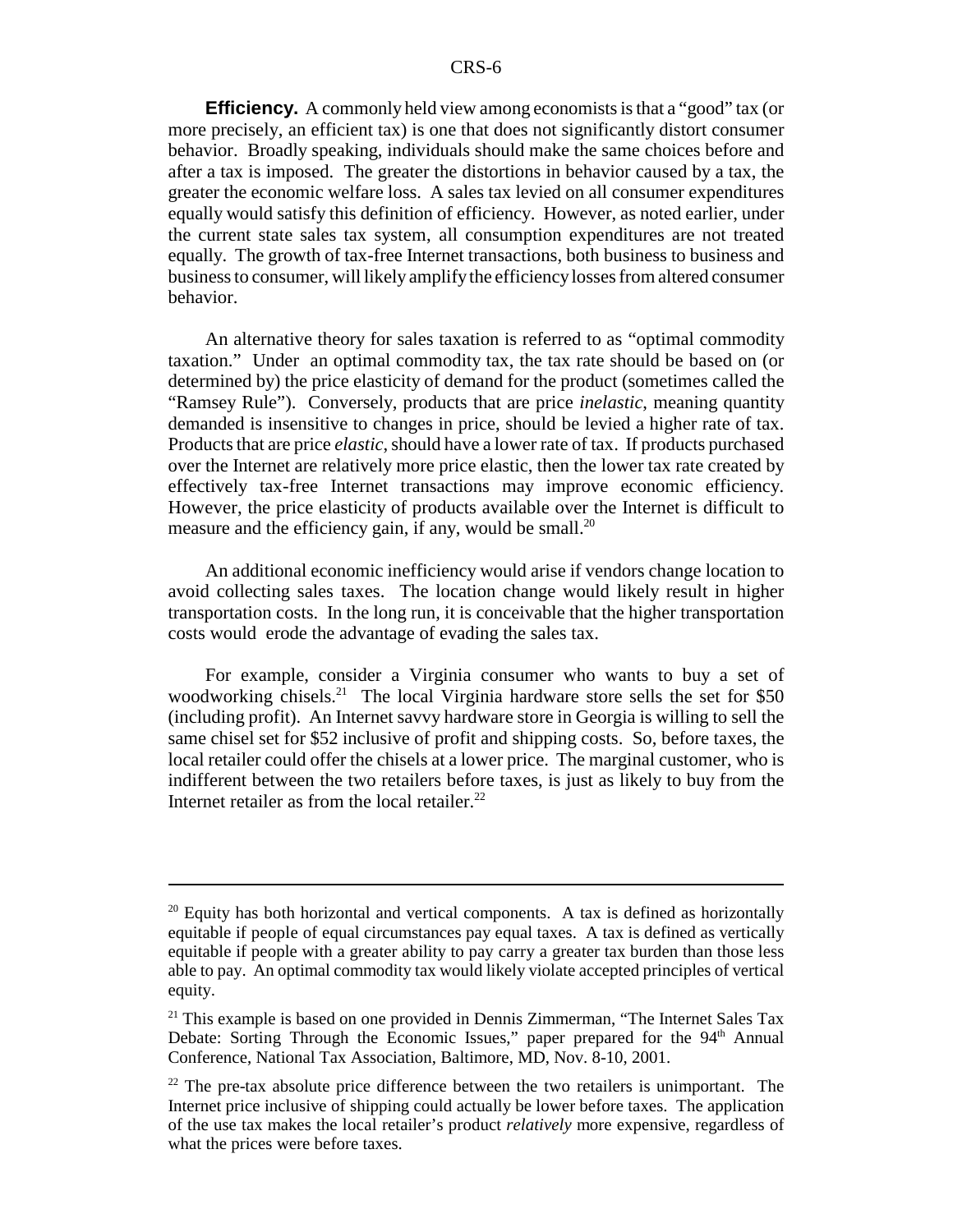**Efficiency.** A commonly held view among economists is that a "good" tax (or more precisely, an efficient tax) is one that does not significantly distort consumer behavior. Broadly speaking, individuals should make the same choices before and after a tax is imposed. The greater the distortions in behavior caused by a tax, the greater the economic welfare loss. A sales tax levied on all consumer expenditures equally would satisfy this definition of efficiency. However, as noted earlier, under the current state sales tax system, all consumption expenditures are not treated equally. The growth of tax-free Internet transactions, both business to business and business to consumer, will likely amplify the efficiency losses from altered consumer behavior.

An alternative theory for sales taxation is referred to as "optimal commodity taxation." Under an optimal commodity tax, the tax rate should be based on (or determined by) the price elasticity of demand for the product (sometimes called the "Ramsey Rule"). Conversely, products that are price *inelastic*, meaning quantity demanded is insensitive to changes in price, should be levied a higher rate of tax. Products that are price *elastic*, should have a lower rate of tax. If products purchased over the Internet are relatively more price elastic, then the lower tax rate created by effectively tax-free Internet transactions may improve economic efficiency. However, the price elasticity of products available over the Internet is difficult to measure and the efficiency gain, if any, would be small.<sup>20</sup>

An additional economic inefficiency would arise if vendors change location to avoid collecting sales taxes. The location change would likely result in higher transportation costs. In the long run, it is conceivable that the higher transportation costs would erode the advantage of evading the sales tax.

For example, consider a Virginia consumer who wants to buy a set of woodworking chisels.<sup>21</sup> The local Virginia hardware store sells the set for \$50 (including profit). An Internet savvy hardware store in Georgia is willing to sell the same chisel set for \$52 inclusive of profit and shipping costs. So, before taxes, the local retailer could offer the chisels at a lower price. The marginal customer, who is indifferent between the two retailers before taxes, is just as likely to buy from the Internet retailer as from the local retailer. $^{22}$ 

 $20$  Equity has both horizontal and vertical components. A tax is defined as horizontally equitable if people of equal circumstances pay equal taxes. A tax is defined as vertically equitable if people with a greater ability to pay carry a greater tax burden than those less able to pay. An optimal commodity tax would likely violate accepted principles of vertical equity.

<sup>&</sup>lt;sup>21</sup> This example is based on one provided in Dennis Zimmerman, "The Internet Sales Tax Debate: Sorting Through the Economic Issues," paper prepared for the  $94<sup>th</sup>$  Annual Conference, National Tax Association, Baltimore, MD, Nov. 8-10, 2001.

 $22$  The pre-tax absolute price difference between the two retailers is unimportant. The Internet price inclusive of shipping could actually be lower before taxes. The application of the use tax makes the local retailer's product *relatively* more expensive, regardless of what the prices were before taxes.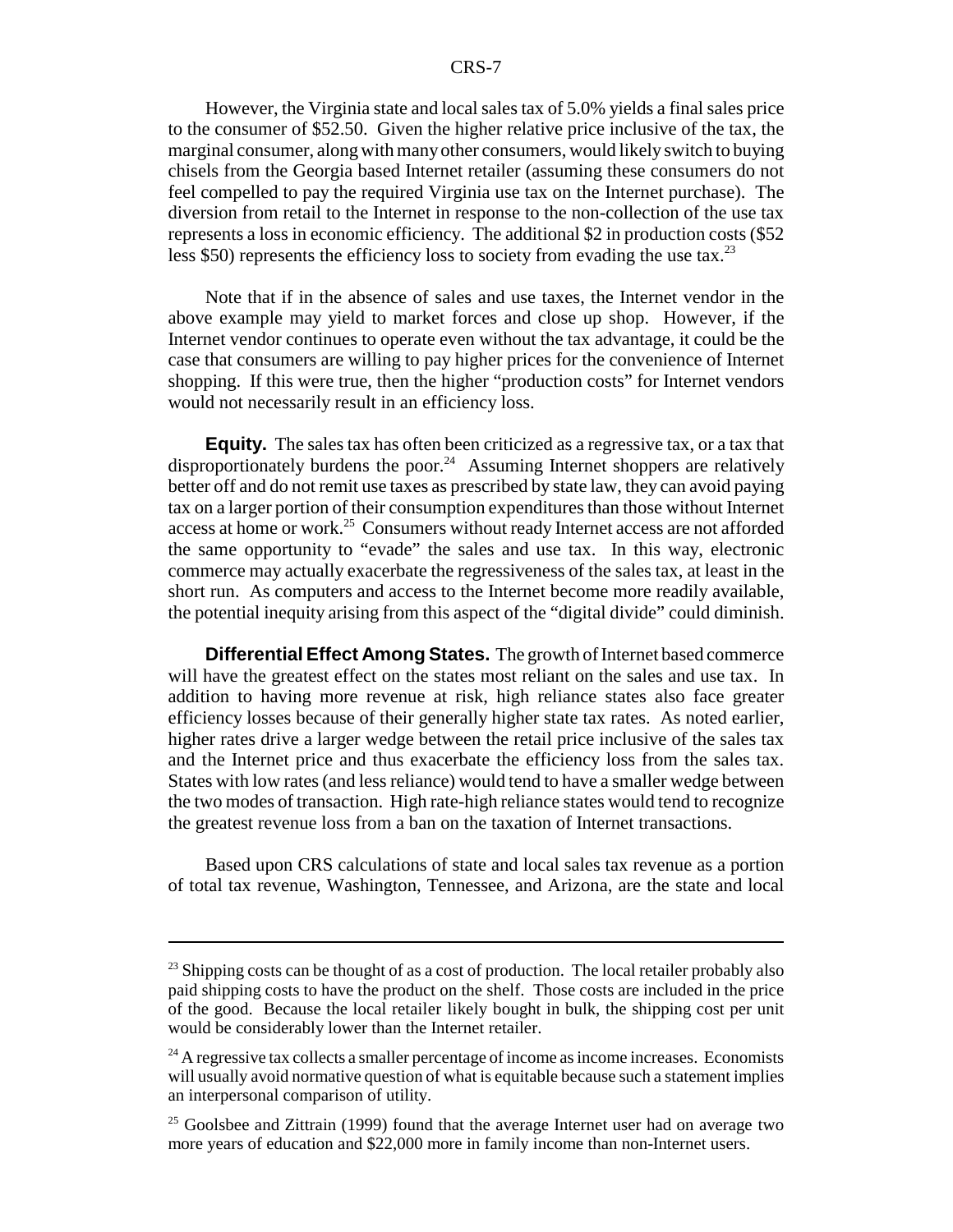#### CRS-7

However, the Virginia state and local sales tax of 5.0% yields a final sales price to the consumer of \$52.50. Given the higher relative price inclusive of the tax, the marginal consumer, along with many other consumers, would likely switch to buying chisels from the Georgia based Internet retailer (assuming these consumers do not feel compelled to pay the required Virginia use tax on the Internet purchase). The diversion from retail to the Internet in response to the non-collection of the use tax represents a loss in economic efficiency. The additional \$2 in production costs (\$52 less \$50) represents the efficiency loss to society from evading the use tax.<sup>23</sup>

Note that if in the absence of sales and use taxes, the Internet vendor in the above example may yield to market forces and close up shop. However, if the Internet vendor continues to operate even without the tax advantage, it could be the case that consumers are willing to pay higher prices for the convenience of Internet shopping. If this were true, then the higher "production costs" for Internet vendors would not necessarily result in an efficiency loss.

**Equity.** The sales tax has often been criticized as a regressive tax, or a tax that disproportionately burdens the poor.<sup>24</sup> Assuming Internet shoppers are relatively better off and do not remit use taxes as prescribed by state law, they can avoid paying tax on a larger portion of their consumption expenditures than those without Internet access at home or work.<sup>25</sup> Consumers without ready Internet access are not afforded the same opportunity to "evade" the sales and use tax. In this way, electronic commerce may actually exacerbate the regressiveness of the sales tax, at least in the short run. As computers and access to the Internet become more readily available, the potential inequity arising from this aspect of the "digital divide" could diminish.

**Differential Effect Among States.** The growth of Internet based commerce will have the greatest effect on the states most reliant on the sales and use tax. In addition to having more revenue at risk, high reliance states also face greater efficiency losses because of their generally higher state tax rates. As noted earlier, higher rates drive a larger wedge between the retail price inclusive of the sales tax and the Internet price and thus exacerbate the efficiency loss from the sales tax. States with low rates (and less reliance) would tend to have a smaller wedge between the two modes of transaction. High rate-high reliance states would tend to recognize the greatest revenue loss from a ban on the taxation of Internet transactions.

Based upon CRS calculations of state and local sales tax revenue as a portion of total tax revenue, Washington, Tennessee, and Arizona, are the state and local

<sup>&</sup>lt;sup>23</sup> Shipping costs can be thought of as a cost of production. The local retailer probably also paid shipping costs to have the product on the shelf. Those costs are included in the price of the good. Because the local retailer likely bought in bulk, the shipping cost per unit would be considerably lower than the Internet retailer.

<sup>&</sup>lt;sup>24</sup> A regressive tax collects a smaller percentage of income as income increases. Economists will usually avoid normative question of what is equitable because such a statement implies an interpersonal comparison of utility.

 $25$  Goolsbee and Zittrain (1999) found that the average Internet user had on average two more years of education and \$22,000 more in family income than non-Internet users.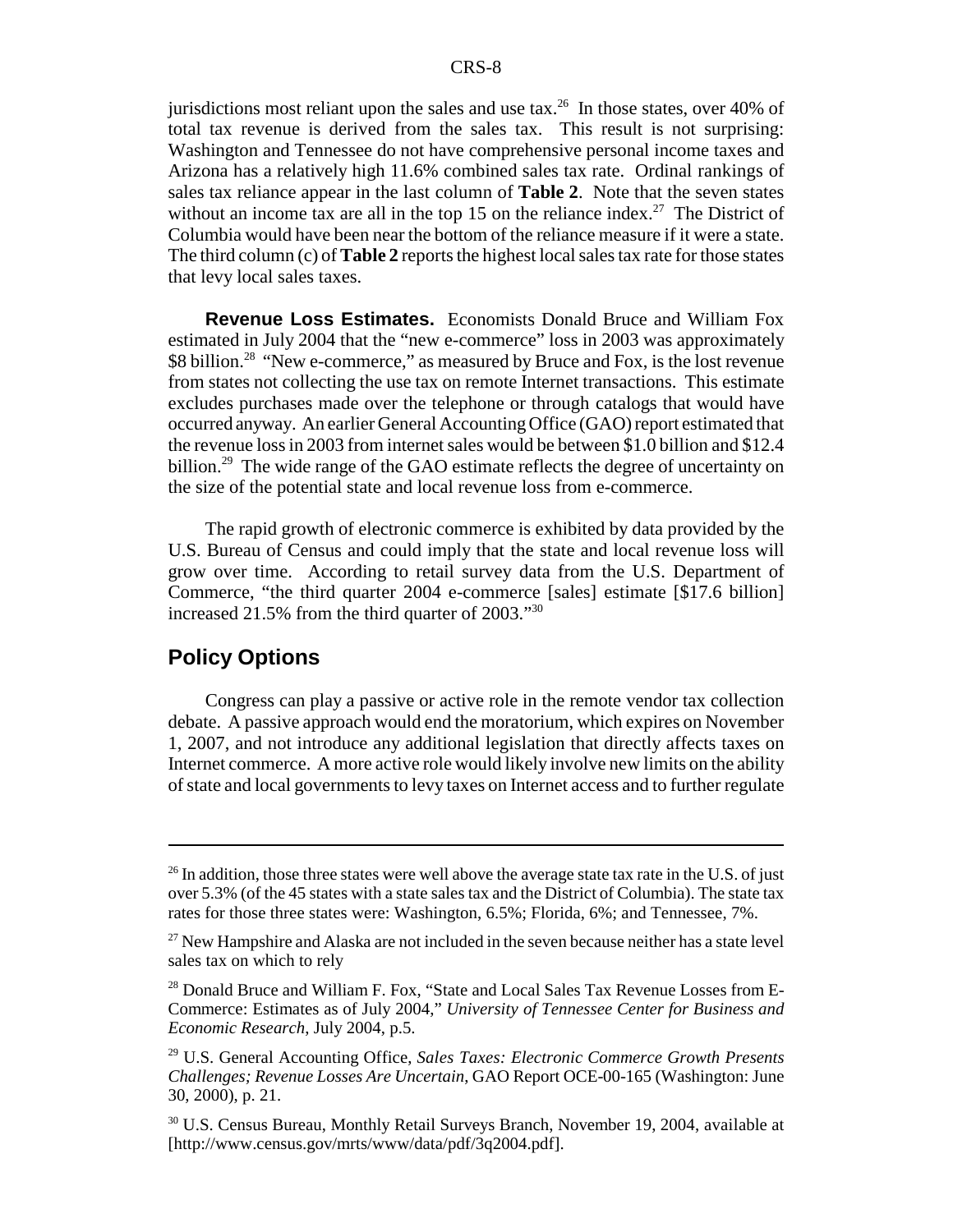jurisdictions most reliant upon the sales and use  $\text{tax.}^{26}$  In those states, over 40% of total tax revenue is derived from the sales tax. This result is not surprising: Washington and Tennessee do not have comprehensive personal income taxes and Arizona has a relatively high 11.6% combined sales tax rate. Ordinal rankings of sales tax reliance appear in the last column of **Table 2**. Note that the seven states without an income tax are all in the top 15 on the reliance index.<sup>27</sup> The District of Columbia would have been near the bottom of the reliance measure if it were a state. The third column (c) of **Table 2** reports the highest local sales tax rate for those states that levy local sales taxes.

**Revenue Loss Estimates.** Economists Donald Bruce and William Fox estimated in July 2004 that the "new e-commerce" loss in 2003 was approximately \$8 billion.<sup>28</sup> "New e-commerce," as measured by Bruce and Fox, is the lost revenue from states not collecting the use tax on remote Internet transactions. This estimate excludes purchases made over the telephone or through catalogs that would have occurred anyway. An earlier General Accounting Office (GAO) report estimated that the revenue loss in 2003 from internet sales would be between \$1.0 billion and \$12.4 billion.<sup>29</sup> The wide range of the GAO estimate reflects the degree of uncertainty on the size of the potential state and local revenue loss from e-commerce.

The rapid growth of electronic commerce is exhibited by data provided by the U.S. Bureau of Census and could imply that the state and local revenue loss will grow over time. According to retail survey data from the U.S. Department of Commerce, "the third quarter 2004 e-commerce [sales] estimate [\$17.6 billion] increased 21.5% from the third quarter of 2003."<sup>30</sup>

#### **Policy Options**

Congress can play a passive or active role in the remote vendor tax collection debate. A passive approach would end the moratorium, which expires on November 1, 2007, and not introduce any additional legislation that directly affects taxes on Internet commerce. A more active role would likely involve new limits on the ability of state and local governments to levy taxes on Internet access and to further regulate

 $26$  In addition, those three states were well above the average state tax rate in the U.S. of just over 5.3% (of the 45 states with a state sales tax and the District of Columbia). The state tax rates for those three states were: Washington, 6.5%; Florida, 6%; and Tennessee, 7%.

 $27$  New Hampshire and Alaska are not included in the seven because neither has a state level sales tax on which to rely

<sup>&</sup>lt;sup>28</sup> Donald Bruce and William F. Fox, "State and Local Sales Tax Revenue Losses from E-Commerce: Estimates as of July 2004," *University of Tennessee Center for Business and Economic Research*, July 2004, p.5.

<sup>29</sup> U.S. General Accounting Office, *Sales Taxes: Electronic Commerce Growth Presents Challenges; Revenue Losses Are Uncertain*, GAO Report OCE-00-165 (Washington: June 30, 2000), p. 21.

<sup>30</sup> U.S. Census Bureau, Monthly Retail Surveys Branch, November 19, 2004, available at [http://www.census.gov/mrts/www/data/pdf/3q2004.pdf].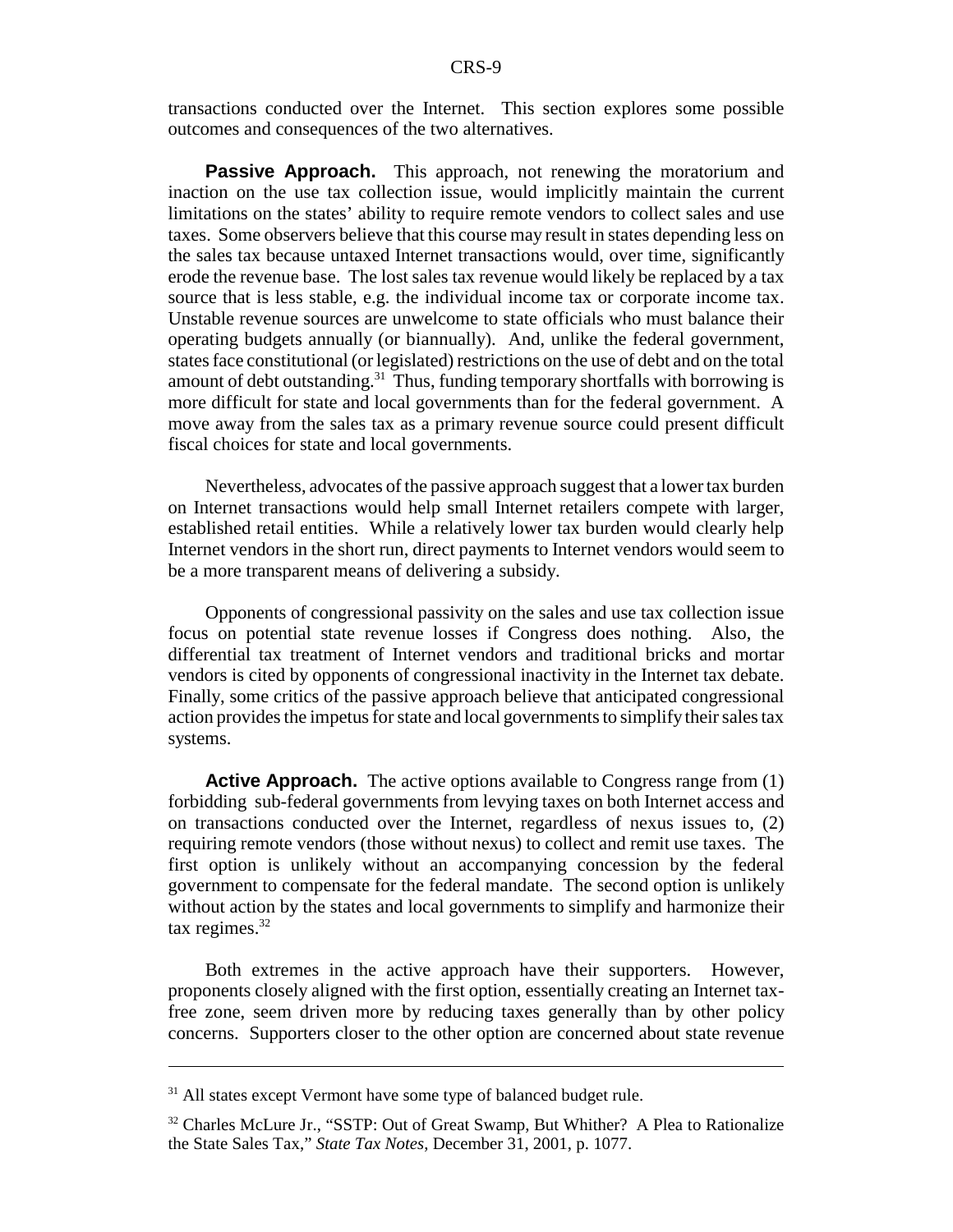transactions conducted over the Internet. This section explores some possible outcomes and consequences of the two alternatives.

**Passive Approach.** This approach, not renewing the moratorium and inaction on the use tax collection issue, would implicitly maintain the current limitations on the states' ability to require remote vendors to collect sales and use taxes. Some observers believe that this course may result in states depending less on the sales tax because untaxed Internet transactions would, over time, significantly erode the revenue base. The lost sales tax revenue would likely be replaced by a tax source that is less stable, e.g. the individual income tax or corporate income tax. Unstable revenue sources are unwelcome to state officials who must balance their operating budgets annually (or biannually). And, unlike the federal government, states face constitutional (or legislated) restrictions on the use of debt and on the total amount of debt outstanding.<sup>31</sup> Thus, funding temporary shortfalls with borrowing is more difficult for state and local governments than for the federal government. A move away from the sales tax as a primary revenue source could present difficult fiscal choices for state and local governments.

Nevertheless, advocates of the passive approach suggest that a lower tax burden on Internet transactions would help small Internet retailers compete with larger, established retail entities. While a relatively lower tax burden would clearly help Internet vendors in the short run, direct payments to Internet vendors would seem to be a more transparent means of delivering a subsidy.

Opponents of congressional passivity on the sales and use tax collection issue focus on potential state revenue losses if Congress does nothing. Also, the differential tax treatment of Internet vendors and traditional bricks and mortar vendors is cited by opponents of congressional inactivity in the Internet tax debate. Finally, some critics of the passive approach believe that anticipated congressional action provides the impetus for state and local governments to simplify their sales tax systems.

**Active Approach.** The active options available to Congress range from (1) forbidding sub-federal governments from levying taxes on both Internet access and on transactions conducted over the Internet, regardless of nexus issues to, (2) requiring remote vendors (those without nexus) to collect and remit use taxes. The first option is unlikely without an accompanying concession by the federal government to compensate for the federal mandate. The second option is unlikely without action by the states and local governments to simplify and harmonize their tax regimes. $32$ 

Both extremes in the active approach have their supporters. However, proponents closely aligned with the first option, essentially creating an Internet taxfree zone, seem driven more by reducing taxes generally than by other policy concerns. Supporters closer to the other option are concerned about state revenue

<sup>&</sup>lt;sup>31</sup> All states except Vermont have some type of balanced budget rule.

<sup>&</sup>lt;sup>32</sup> Charles McLure Jr., "SSTP: Out of Great Swamp, But Whither? A Plea to Rationalize the State Sales Tax," *State Tax Notes*, December 31, 2001, p. 1077.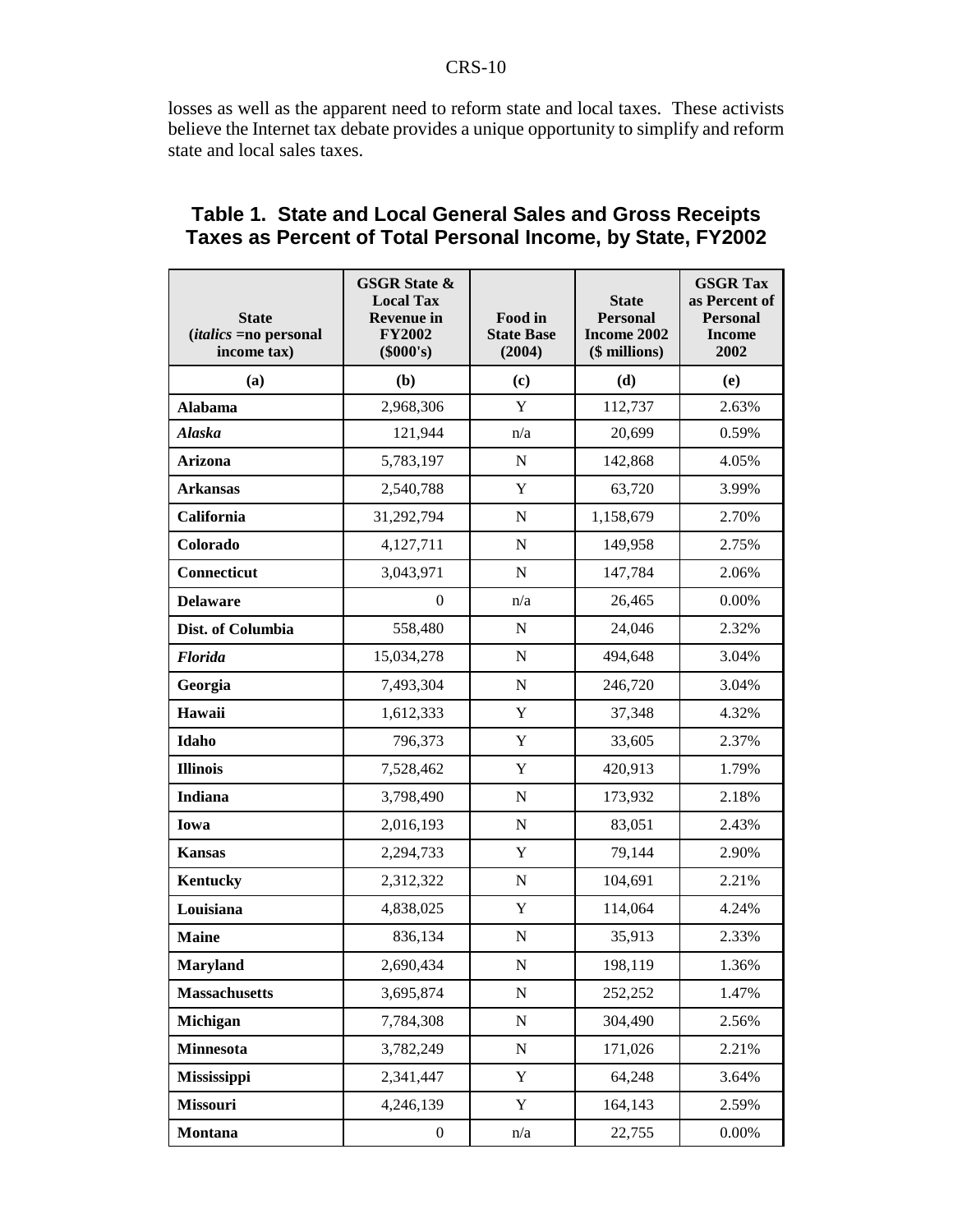losses as well as the apparent need to reform state and local taxes. These activists believe the Internet tax debate provides a unique opportunity to simplify and reform state and local sales taxes.

| <b>State</b><br><i>(italics =no personal</i><br>income tax) | <b>GSGR State &amp;</b><br><b>Local Tax</b><br><b>Revenue in</b><br><b>FY2002</b><br>(\$000's) | Food in<br><b>State Base</b><br>(2004) | <b>State</b><br><b>Personal</b><br>Income 2002<br>(\$ millions) | <b>GSGR Tax</b><br>as Percent of<br><b>Personal</b><br><b>Income</b><br>2002 |  |
|-------------------------------------------------------------|------------------------------------------------------------------------------------------------|----------------------------------------|-----------------------------------------------------------------|------------------------------------------------------------------------------|--|
| (a)                                                         | (b)                                                                                            | (c)                                    | (d)                                                             |                                                                              |  |
| <b>Alabama</b>                                              | 2,968,306                                                                                      | $\mathbf Y$                            | 112,737                                                         | 2.63%                                                                        |  |
| Alaska                                                      | 121,944                                                                                        | n/a                                    | 20,699                                                          | 0.59%                                                                        |  |
| Arizona                                                     | 5,783,197                                                                                      | N                                      | 142,868                                                         | 4.05%                                                                        |  |
| <b>Arkansas</b>                                             | 2,540,788                                                                                      | Y                                      | 63,720                                                          | 3.99%                                                                        |  |
| California                                                  | 31,292,794                                                                                     | $\mathbf N$                            | 1,158,679                                                       | 2.70%                                                                        |  |
| Colorado                                                    | 4,127,711                                                                                      | N                                      | 149,958                                                         | 2.75%                                                                        |  |
| Connecticut                                                 | 3,043,971                                                                                      | N                                      | 147,784                                                         | 2.06%                                                                        |  |
| <b>Delaware</b>                                             | $\mathbf{0}$                                                                                   | n/a                                    | 26,465                                                          | 0.00%                                                                        |  |
| Dist. of Columbia                                           | 558,480                                                                                        | N                                      | 24,046                                                          | 2.32%                                                                        |  |
| <b>Florida</b>                                              | 15,034,278                                                                                     | N                                      | 494,648                                                         | 3.04%                                                                        |  |
| Georgia                                                     | 7,493,304                                                                                      | $\mathbf N$                            | 246,720                                                         | 3.04%                                                                        |  |
| Hawaii                                                      | 1,612,333                                                                                      | Y                                      | 37,348                                                          | 4.32%                                                                        |  |
| Idaho                                                       | 796,373                                                                                        | Y                                      | 33,605                                                          | 2.37%                                                                        |  |
| <b>Illinois</b>                                             | 7,528,462                                                                                      | Y                                      | 420,913                                                         | 1.79%                                                                        |  |
| Indiana                                                     | 3,798,490                                                                                      | $\mathbf N$                            | 173,932                                                         | 2.18%                                                                        |  |
| Iowa                                                        | 2,016,193                                                                                      | N                                      | 83,051                                                          | 2.43%                                                                        |  |
| <b>Kansas</b>                                               | 2,294,733                                                                                      | Y                                      | 79,144                                                          | 2.90%                                                                        |  |
| <b>Kentucky</b>                                             | 2,312,322                                                                                      | N                                      | 104,691                                                         | 2.21%                                                                        |  |
| Louisiana                                                   | 4,838,025                                                                                      | Y                                      | 114,064                                                         | 4.24%                                                                        |  |
| <b>Maine</b>                                                | 836,134                                                                                        | $\mathbf N$                            | 35,913                                                          | 2.33%                                                                        |  |
| <b>Maryland</b>                                             | 2,690,434                                                                                      | N                                      | 198,119                                                         | 1.36%                                                                        |  |
| <b>Massachusetts</b>                                        | 3,695,874                                                                                      | ${\bf N}$                              | 252,252                                                         | 1.47%                                                                        |  |
| Michigan                                                    | 7,784,308                                                                                      | ${\bf N}$                              | 304,490                                                         | 2.56%                                                                        |  |
| <b>Minnesota</b>                                            | 3,782,249                                                                                      | ${\bf N}$                              | 171,026                                                         | 2.21%                                                                        |  |
| Mississippi                                                 | 2,341,447                                                                                      | Y                                      | 64,248                                                          | 3.64%                                                                        |  |
| Missouri                                                    | 4,246,139                                                                                      | Y                                      | 164,143                                                         | 2.59%                                                                        |  |
| <b>Montana</b>                                              | $\boldsymbol{0}$                                                                               | n/a                                    | 22,755                                                          | 0.00%                                                                        |  |

#### **Table 1. State and Local General Sales and Gross Receipts Taxes as Percent of Total Personal Income, by State, FY2002**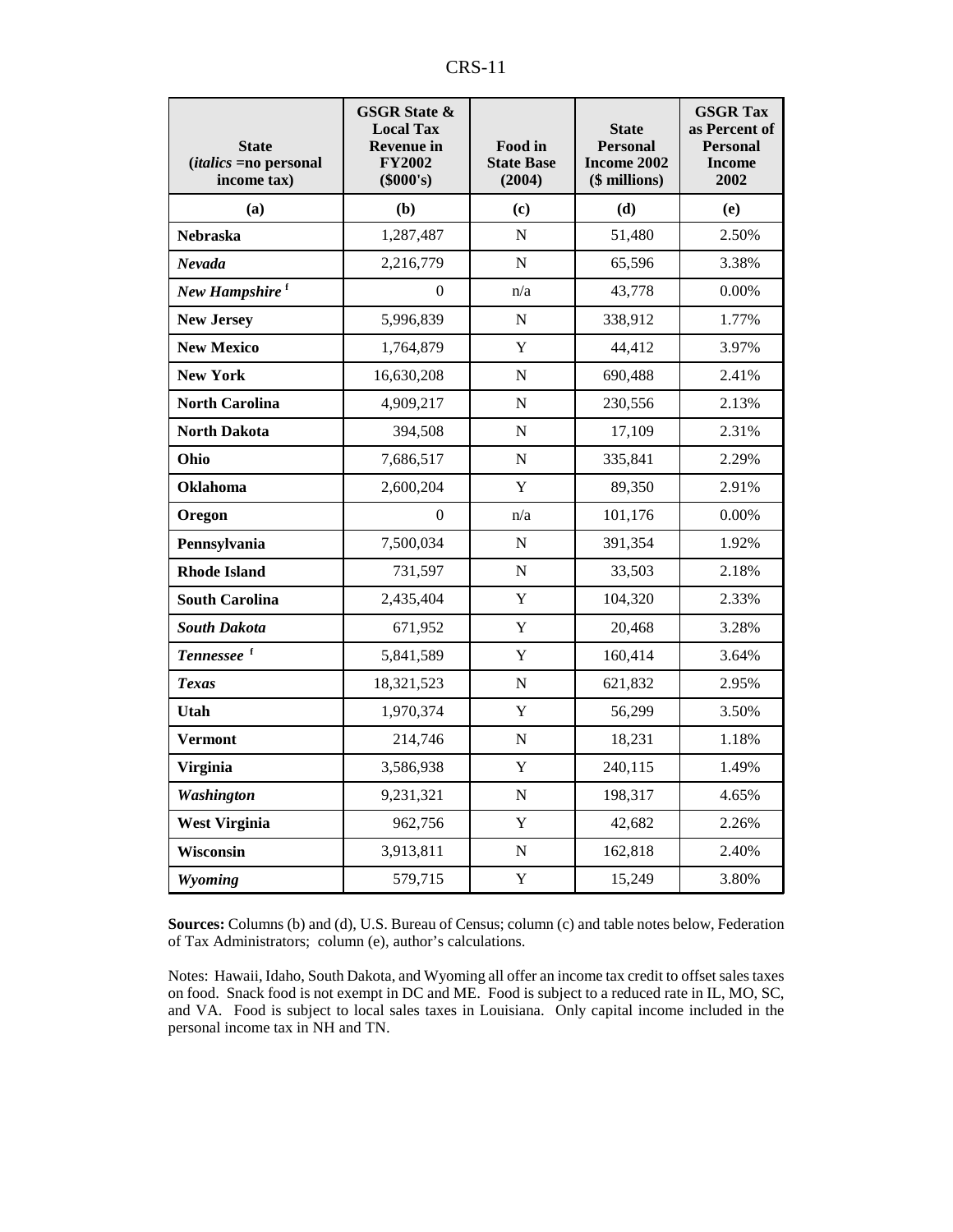| n,<br>17<br>. |  |  |  |
|---------------|--|--|--|
|---------------|--|--|--|

| <b>State</b><br><i>(italics =no personal</i><br>income tax) | <b>GSGR State &amp;</b><br><b>Local Tax</b><br><b>Revenue in</b><br><b>FY2002</b><br>(\$000's) | Food in<br><b>State Base</b><br>(2004) | <b>State</b><br><b>Personal</b><br>Income 2002<br>(\$ millions) | <b>GSGR Tax</b><br>as Percent of<br><b>Personal</b><br><b>Income</b><br>2002 |
|-------------------------------------------------------------|------------------------------------------------------------------------------------------------|----------------------------------------|-----------------------------------------------------------------|------------------------------------------------------------------------------|
| (a)                                                         | (b)                                                                                            | (c)                                    | (d)                                                             | (e)                                                                          |
| Nebraska                                                    | 1,287,487                                                                                      | N                                      | 51,480                                                          | 2.50%                                                                        |
| Nevada                                                      | 2,216,779                                                                                      | N                                      | 65,596                                                          | 3.38%                                                                        |
| New Hampshire <sup>f</sup>                                  | $\mathbf{0}$                                                                                   | n/a                                    | 43,778                                                          | 0.00%                                                                        |
| <b>New Jersey</b>                                           | 5,996,839                                                                                      | $\mathbf N$                            | 338,912                                                         | 1.77%                                                                        |
| <b>New Mexico</b>                                           | 1,764,879                                                                                      | Y                                      | 44,412                                                          | 3.97%                                                                        |
| <b>New York</b>                                             | 16,630,208                                                                                     | N                                      | 690,488                                                         | 2.41%                                                                        |
| <b>North Carolina</b>                                       | 4,909,217                                                                                      | N                                      | 230,556                                                         | 2.13%                                                                        |
| <b>North Dakota</b>                                         | 394,508                                                                                        | N                                      | 17,109                                                          | 2.31%                                                                        |
| Ohio                                                        | 7,686,517                                                                                      | ${\bf N}$                              | 335,841                                                         | 2.29%                                                                        |
| Oklahoma                                                    | 2,600,204                                                                                      | Y                                      | 89,350                                                          | 2.91%                                                                        |
| Oregon                                                      | $\Omega$                                                                                       | n/a                                    | 101,176                                                         | 0.00%                                                                        |
| Pennsylvania                                                | 7,500,034                                                                                      | ${\bf N}$                              | 391,354                                                         | 1.92%                                                                        |
| <b>Rhode Island</b>                                         | 731,597                                                                                        | $\mathbf N$                            | 33,503                                                          | 2.18%                                                                        |
| <b>South Carolina</b>                                       | 2,435,404                                                                                      | Y                                      | 104,320                                                         | 2.33%                                                                        |
| <b>South Dakota</b>                                         | 671,952                                                                                        | Y                                      | 20,468                                                          | 3.28%                                                                        |
| Tennessee <sup>f</sup>                                      | 5,841,589                                                                                      | Y                                      | 160,414                                                         | 3.64%                                                                        |
| <b>Texas</b>                                                | 18,321,523                                                                                     | N                                      | 621,832                                                         | 2.95%                                                                        |
| Utah                                                        | 1,970,374                                                                                      | Y                                      | 56,299                                                          | 3.50%                                                                        |
| <b>Vermont</b>                                              | 214,746                                                                                        | $\mathbf N$                            | 18,231                                                          | 1.18%                                                                        |
| <b>Virginia</b>                                             | 3,586,938                                                                                      | Y                                      | 240,115                                                         | 1.49%                                                                        |
| <b>Washington</b>                                           | 9,231,321                                                                                      | N                                      | 198,317                                                         | 4.65%                                                                        |
| <b>West Virginia</b>                                        | 962,756                                                                                        | Y                                      | 42,682                                                          | 2.26%                                                                        |
| Wisconsin                                                   | 3,913,811                                                                                      | N                                      | 162,818                                                         | 2.40%                                                                        |
| Wyoming                                                     | 579,715                                                                                        | $\mathbf Y$                            | 15,249                                                          | 3.80%                                                                        |

**Sources:** Columns (b) and (d), U.S. Bureau of Census; column (c) and table notes below, Federation of Tax Administrators; column (e), author's calculations.

Notes: Hawaii, Idaho, South Dakota, and Wyoming all offer an income tax credit to offset sales taxes on food. Snack food is not exempt in DC and ME. Food is subject to a reduced rate in IL, MO, SC, and VA. Food is subject to local sales taxes in Louisiana. Only capital income included in the personal income tax in NH and TN.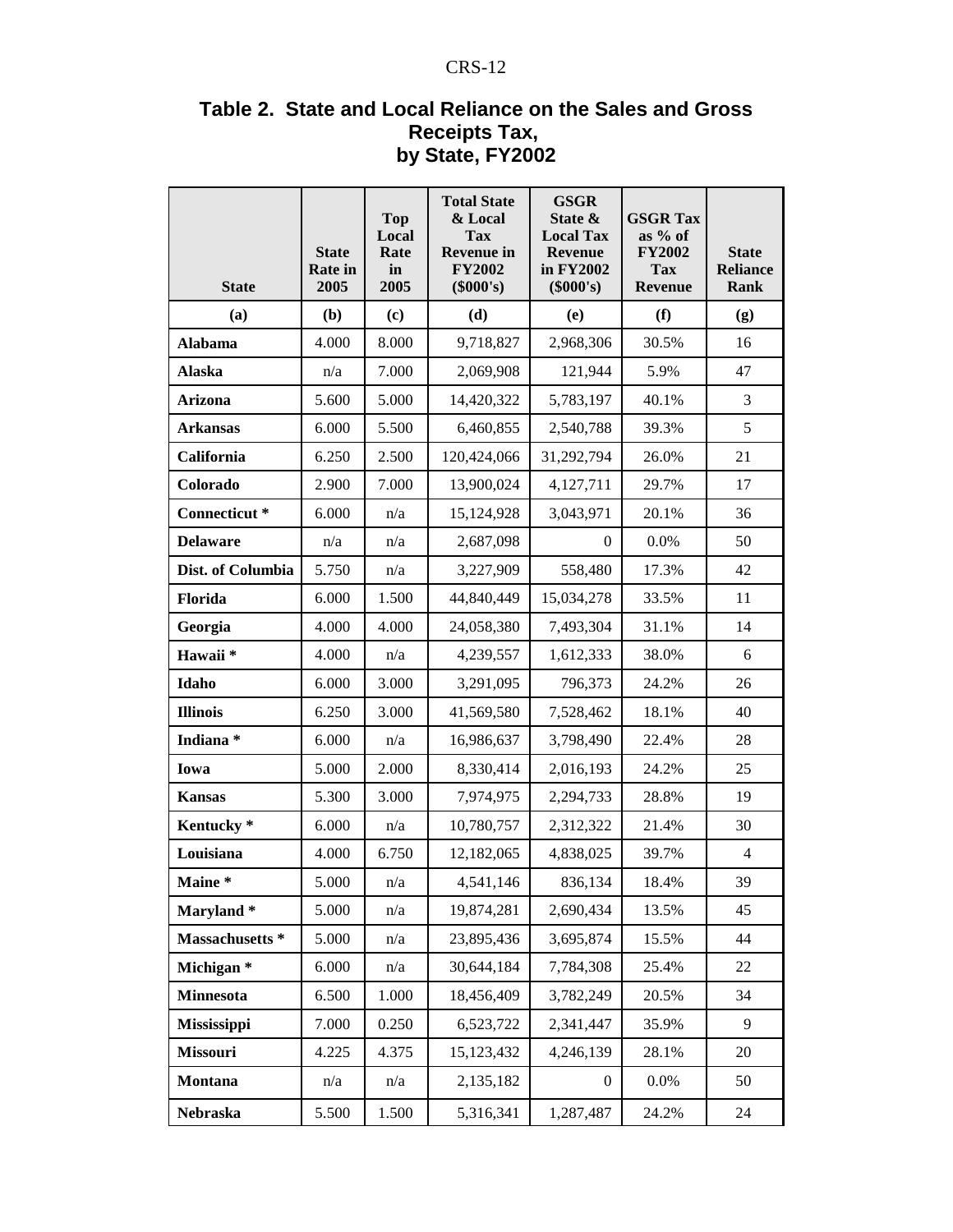#### CRS-12

#### **Table 2. State and Local Reliance on the Sales and Gross Receipts Tax, by State, FY2002**

| <b>State</b>             | <b>State</b><br><b>Rate in</b><br>2005 | <b>Top</b><br>Local<br>Rate<br>in<br>2005 | <b>Total State</b><br>& Local<br><b>Tax</b><br><b>Revenue in</b><br><b>FY2002</b><br>(\$000's) | <b>GSGR</b><br>State &<br><b>Local Tax</b><br><b>Revenue</b><br>in FY2002<br>(\$000's) | <b>GSGR Tax</b><br>as % of<br><b>FY2002</b><br><b>Tax</b><br><b>Revenue</b> | <b>State</b><br><b>Reliance</b><br>Rank |
|--------------------------|----------------------------------------|-------------------------------------------|------------------------------------------------------------------------------------------------|----------------------------------------------------------------------------------------|-----------------------------------------------------------------------------|-----------------------------------------|
| (a)                      | (b)                                    | (c)                                       | (d)                                                                                            | (e)                                                                                    | (f)                                                                         | (g)                                     |
| <b>Alabama</b>           | 4.000                                  | 8.000                                     | 9,718,827                                                                                      | 2,968,306                                                                              | 30.5%                                                                       | 16                                      |
| <b>Alaska</b>            | n/a                                    | 7.000                                     | 2,069,908                                                                                      | 121,944                                                                                | 5.9%                                                                        | 47                                      |
| Arizona                  | 5.600                                  | 5.000                                     | 14,420,322                                                                                     | 5,783,197                                                                              | 40.1%                                                                       | 3                                       |
| <b>Arkansas</b>          | 6.000                                  | 5.500                                     | 6,460,855                                                                                      | 2,540,788                                                                              | 39.3%                                                                       | 5                                       |
| California               | 6.250                                  | 2.500                                     | 120,424,066                                                                                    | 31,292,794                                                                             | 26.0%                                                                       | 21                                      |
| Colorado                 | 2.900                                  | 7.000                                     | 13,900,024                                                                                     | 4,127,711                                                                              | 29.7%                                                                       | 17                                      |
| Connecticut <sup>*</sup> | 6.000                                  | n/a                                       | 15,124,928                                                                                     | 3,043,971                                                                              | 20.1%                                                                       | 36                                      |
| <b>Delaware</b>          | n/a                                    | n/a                                       | 2,687,098                                                                                      | $\overline{0}$                                                                         | 0.0%                                                                        | 50                                      |
| Dist. of Columbia        | 5.750                                  | n/a                                       | 3,227,909                                                                                      | 558,480                                                                                | 17.3%                                                                       | 42                                      |
| Florida                  | 6.000                                  | 1.500                                     | 44,840,449                                                                                     | 15,034,278                                                                             | 33.5%                                                                       | 11                                      |
| Georgia                  | 4.000                                  | 4.000                                     | 24,058,380                                                                                     | 7,493,304                                                                              | 31.1%                                                                       | 14                                      |
| Hawaii*                  | 4.000                                  | n/a                                       | 4,239,557                                                                                      | 1,612,333                                                                              | 38.0%                                                                       | 6                                       |
| Idaho                    | 6.000                                  | 3.000                                     | 3,291,095                                                                                      | 796,373                                                                                | 24.2%                                                                       | 26                                      |
| <b>Illinois</b>          | 6.250                                  | 3.000                                     | 41,569,580                                                                                     | 7,528,462                                                                              | 18.1%                                                                       | 40                                      |
| Indiana*                 | 6.000                                  | n/a                                       | 16,986,637                                                                                     | 3,798,490                                                                              | 22.4%                                                                       | 28                                      |
| Iowa                     | 5.000                                  | 2.000                                     | 8,330,414                                                                                      | 2,016,193                                                                              | 24.2%                                                                       | 25                                      |
| <b>Kansas</b>            | 5.300                                  | 3.000                                     | 7,974,975                                                                                      | 2,294,733                                                                              | 28.8%                                                                       | 19                                      |
| Kentucky <sup>*</sup>    | 6.000                                  | n/a                                       | 10,780,757                                                                                     | 2,312,322                                                                              | 21.4%                                                                       | 30                                      |
| Louisiana                | 4.000                                  | 6.750                                     | 12,182,065                                                                                     | 4,838,025                                                                              | 39.7%                                                                       | $\overline{4}$                          |
| Maine *                  | 5.000                                  | n/a                                       | 4,541,146                                                                                      | 836,134                                                                                | 18.4%                                                                       | 39                                      |
| Maryland*                | 5.000                                  | n/a                                       | 19,874,281                                                                                     | 2,690,434                                                                              | 13.5%                                                                       | 45                                      |
| Massachusetts *          | 5.000                                  | n/a                                       | 23,895,436                                                                                     | 3,695,874                                                                              | 15.5%                                                                       | 44                                      |
| Michigan <sup>*</sup>    | 6.000                                  | n/a                                       | 30,644,184                                                                                     | 7,784,308                                                                              | 25.4%                                                                       | 22                                      |
| <b>Minnesota</b>         | 6.500                                  | 1.000                                     | 18,456,409                                                                                     | 3,782,249                                                                              | 20.5%                                                                       | 34                                      |
| Mississippi              | 7.000                                  | 0.250                                     | 6,523,722                                                                                      | 2,341,447                                                                              | 35.9%                                                                       | 9                                       |
| Missouri                 | 4.225                                  | 4.375                                     | 15,123,432                                                                                     | 4,246,139                                                                              | 28.1%                                                                       | 20                                      |
| Montana                  | n/a                                    | n/a                                       | 2,135,182                                                                                      | $\boldsymbol{0}$                                                                       | 0.0%                                                                        | 50                                      |
| Nebraska                 | 5.500                                  | 1.500                                     | 5,316,341                                                                                      | 1,287,487                                                                              | 24.2%                                                                       | 24                                      |